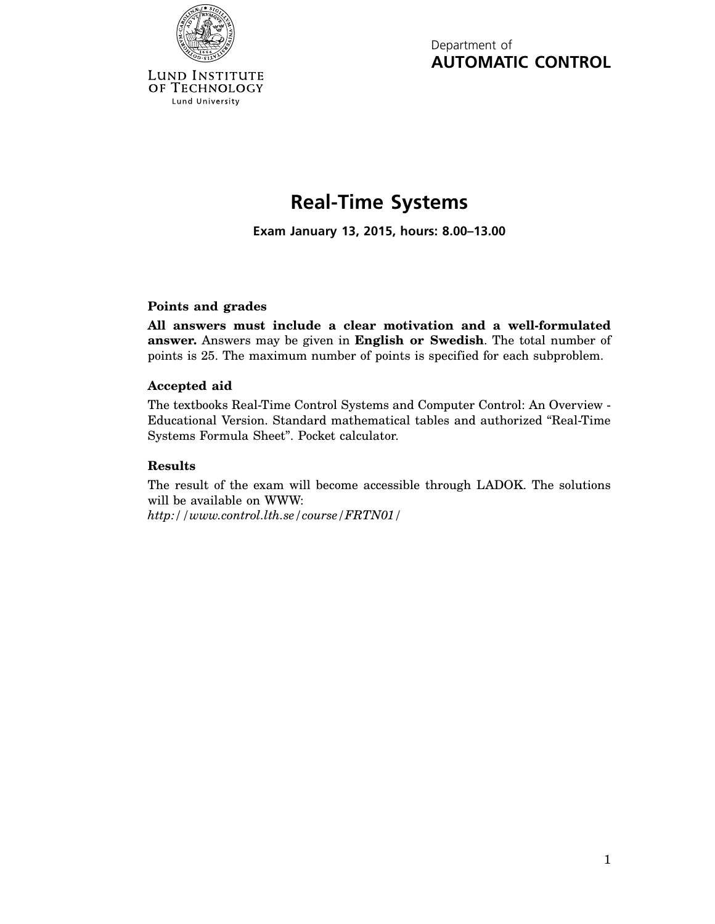

Lund University

Department of **AUTOMATIC CONTROL**

## **Real-Time Systems**

**Exam January 13, 2015, hours: 8.00–13.00**

## **Points and grades**

**All answers must include a clear motivation and a well-formulated answer.** Answers may be given in **English or Swedish**. The total number of points is 25. The maximum number of points is specified for each subproblem.

## **Accepted aid**

The textbooks Real-Time Control Systems and Computer Control: An Overview - Educational Version. Standard mathematical tables and authorized "Real-Time Systems Formula Sheet". Pocket calculator.

## **Results**

The result of the exam will become accessible through LADOK. The solutions will be available on WWW:

*http://www.control.lth.se/course/FRTN01/*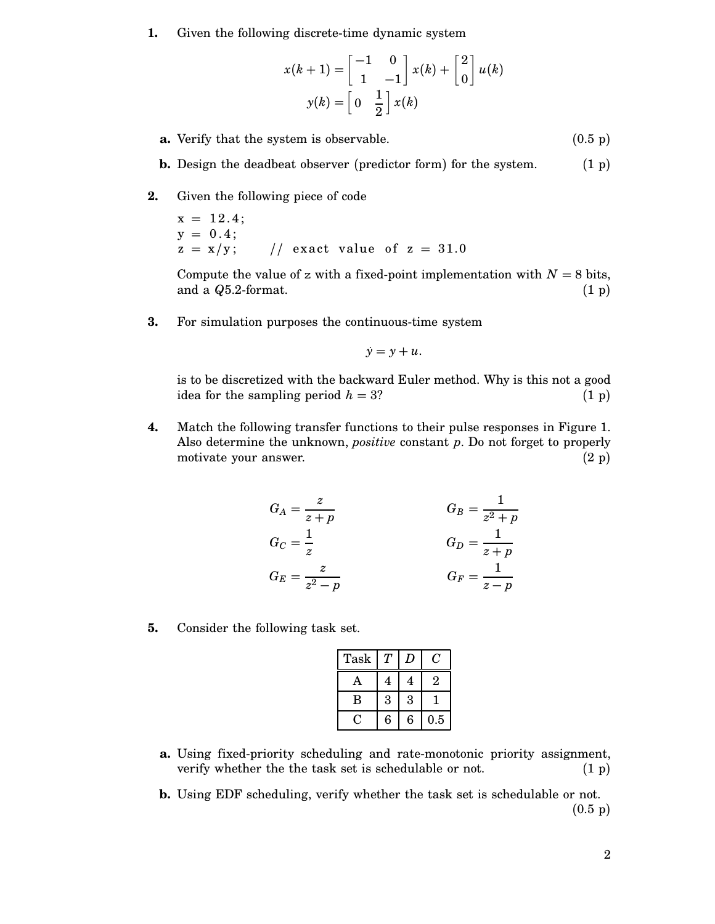**1.** Given the following discrete-time dynamic system

$$
x(k+1) = \begin{bmatrix} -1 & 0 \\ 1 & -1 \end{bmatrix} x(k) + \begin{bmatrix} 2 \\ 0 \end{bmatrix} u(k)
$$

$$
y(k) = \begin{bmatrix} 0 & \frac{1}{2} \end{bmatrix} x(k)
$$

- **a.** Verify that the system is observable. (0.5 p)
- **b.** Design the deadbeat observer (predictor form) for the system. (1 p)
- **2.** Given the following piece of code

 $x = 12.4;$  $y = 0.4$ ;<br>z = x/y; // exact value of  $z = 31.0$ 

Compute the value of z with a fixed-point implementation with  $N = 8$  bits, and a  $Q5.2$ -format. (1 p) and a  $Q5.2$ -format.

**3.** For simulation purposes the continuous-time system

$$
\dot{y}=y+u.
$$

is to be discretized with the backward Euler method. Why is this not a good idea for the sampling period  $h = 3$ ? (1 p)

**4.** Match the following transfer functions to their pulse responses in Figure 1. Also determine the unknown, *positive* constant *p*. Do not forget to properly motivate your answer. (2 p)

$$
G_A = \frac{z}{z+p}
$$
  
\n
$$
G_C = \frac{1}{z}
$$
  
\n
$$
G_E = \frac{z}{z^2 - p}
$$
  
\n
$$
G_B = \frac{1}{z^2 + p}
$$
  
\n
$$
G_D = \frac{1}{z + p}
$$
  
\n
$$
G_F = \frac{1}{z - p}
$$

**5.** Consider the following task set.

| Task         |   |   | Γ,  |
|--------------|---|---|-----|
| $\mathbf{A}$ | 4 | 4 | 2   |
| В            | 3 | 3 |     |
|              | 6 | 6 | 0.5 |

- **a.** Using fixed-priority scheduling and rate-monotonic priority assignment, verify whether the the task set is schedulable or not. (1 p)
- **b.** Using EDF scheduling, verify whether the task set is schedulable or not.  $(0.5 \; \text{p})$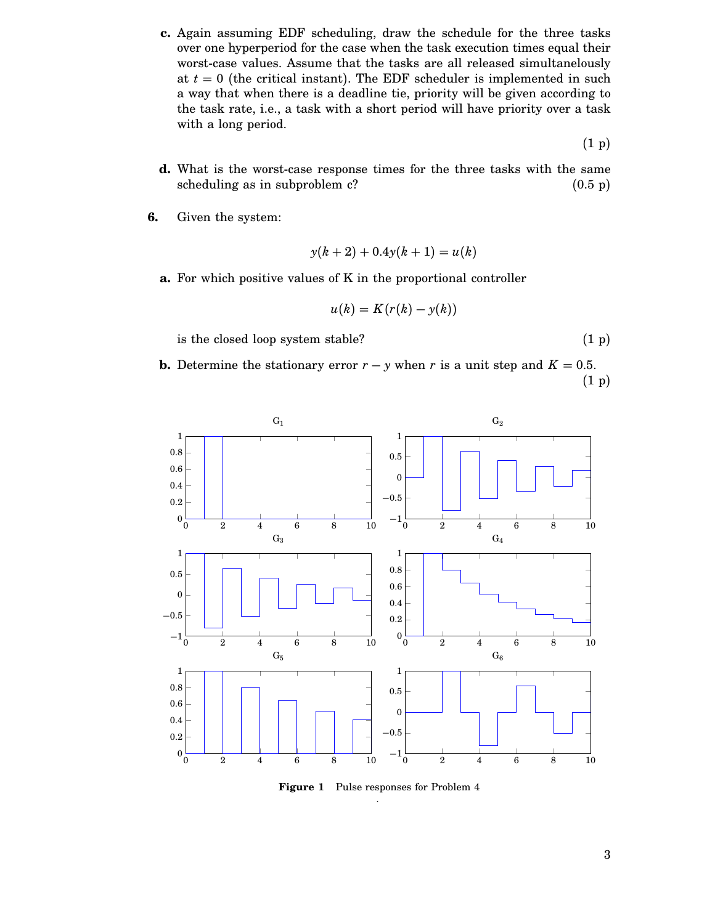**c.** Again assuming EDF scheduling, draw the schedule for the three tasks over one hyperperiod for the case when the task execution times equal their worst-case values. Assume that the tasks are all released simultanelously at  $t = 0$  (the critical instant). The EDF scheduler is implemented in such a way that when there is a deadline tie, priority will be given according to the task rate, i.e., a task with a short period will have priority over a task with a long period.

(1 p)

- **d.** What is the worst-case response times for the three tasks with the same scheduling as in subproblem  $c$ ?  $(0.5 \text{ p})$
- **6.** Given the system:

$$
y(k+2) + 0.4y(k+1) = u(k)
$$

**a.** For which positive values of K in the proportional controller

$$
u(k) = K(r(k) - y(k))
$$

is the closed loop system stable?  $(1\text{ p})$ 

**b.** Determine the stationary error  $r - y$  when *r* is a unit step and  $K = 0.5$ . (1 p)



**Figure 1** Pulse responses for Problem 4 .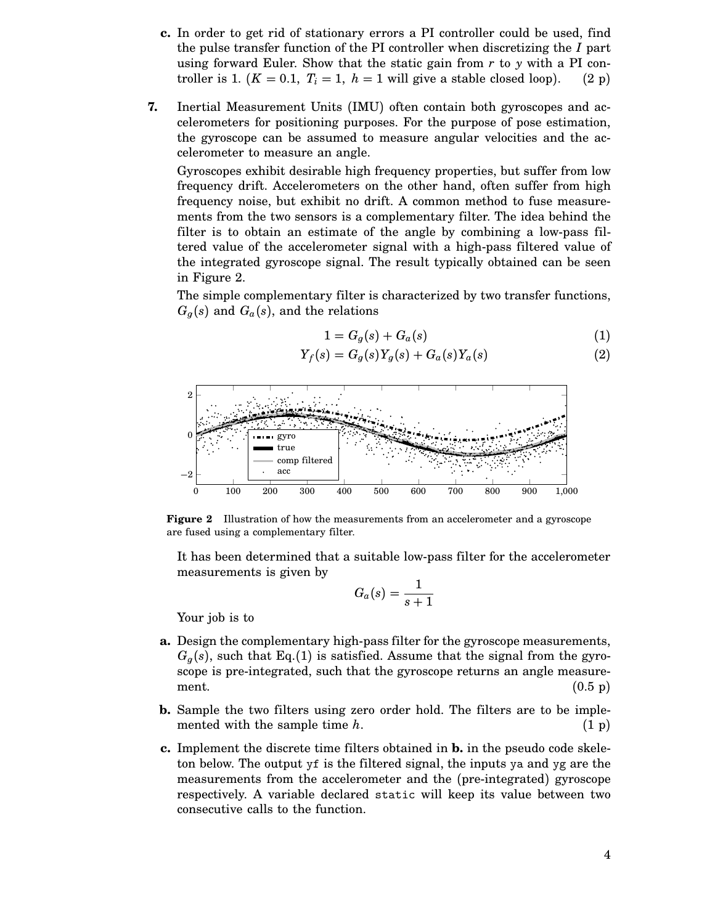- **c.** In order to get rid of stationary errors a PI controller could be used, find the pulse transfer function of the PI controller when discretizing the *I* part using forward Euler. Show that the static gain from *r* to *y* with a PI controller is 1.  $(K = 0.1, T_i = 1, h = 1$  will give a stable closed loop). (2 p)
- **7.** Inertial Measurement Units (IMU) often contain both gyroscopes and accelerometers for positioning purposes. For the purpose of pose estimation, the gyroscope can be assumed to measure angular velocities and the accelerometer to measure an angle.

Gyroscopes exhibit desirable high frequency properties, but suffer from low frequency drift. Accelerometers on the other hand, often suffer from high frequency noise, but exhibit no drift. A common method to fuse measurements from the two sensors is a complementary filter. The idea behind the filter is to obtain an estimate of the angle by combining a low-pass filtered value of the accelerometer signal with a high-pass filtered value of the integrated gyroscope signal. The result typically obtained can be seen in Figure 2.

The simple complementary filter is characterized by two transfer functions,  $G_g(s)$  and  $G_a(s)$ , and the relations

$$
1 = G_g(s) + G_a(s) \tag{1}
$$

$$
Y_f(s) = G_g(s)Y_g(s) + G_a(s)Y_a(s)
$$
 (2)



**Figure 2** Illustration of how the measurements from an accelerometer and a gyroscope are fused using a complementary filter.

It has been determined that a suitable low-pass filter for the accelerometer measurements is given by

$$
G_a(s) = \frac{1}{s+1}
$$

Your job is to

- **a.** Design the complementary high-pass filter for the gyroscope measurements,  $G_g(s)$ , such that Eq.(1) is satisfied. Assume that the signal from the gyroscope is pre-integrated, such that the gyroscope returns an angle measurement.  $(0.5 \text{ p})$
- **b.** Sample the two filters using zero order hold. The filters are to be implemented with the sample time  $h$ .  $(1 \text{ p})$
- **c.** Implement the discrete time filters obtained in **b.** in the pseudo code skeleton below. The output yf is the filtered signal, the inputs ya and yg are the measurements from the accelerometer and the (pre-integrated) gyroscope respectively. A variable declared static will keep its value between two consecutive calls to the function.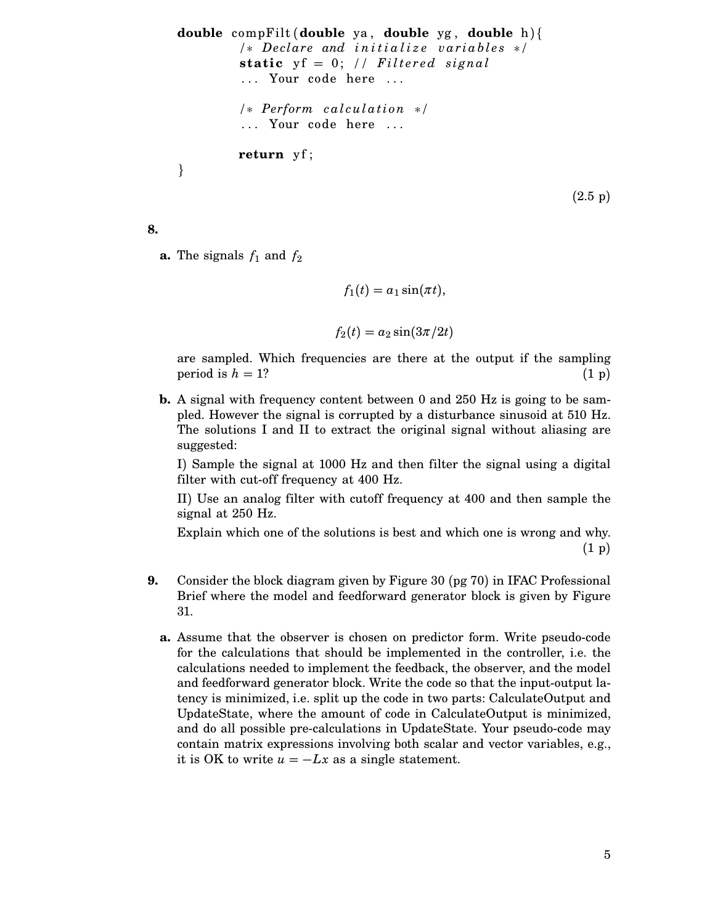```
double compFilt (double ya , double yg , double h){
         /∗ Dec lare and i n i t i a l i z e v a r i a b l e s ∗/
         static yf = 0; \frac{1}{\pi} Filtered signal
          ... Your code here ...
         /∗ Perform calculation ∗/
          ... Your code here ...
         return yf ;
}
```
 $(2.5 \text{ p})$ 

**8.**

**a.** The signals  $f_1$  and  $f_2$ 

$$
f_1(t) = a_1 \sin(\pi t),
$$

$$
f_2(t) = a_2 \sin(3\pi/2t)
$$

are sampled. Which frequencies are there at the output if the sampling period is  $h = 1$ ? (1 p)

**b.** A signal with frequency content between 0 and 250 Hz is going to be sampled. However the signal is corrupted by a disturbance sinusoid at 510 Hz. The solutions I and II to extract the original signal without aliasing are suggested:

I) Sample the signal at 1000 Hz and then filter the signal using a digital filter with cut-off frequency at 400 Hz.

II) Use an analog filter with cutoff frequency at 400 and then sample the signal at 250 Hz.

Explain which one of the solutions is best and which one is wrong and why. (1 p)

- **9.** Consider the block diagram given by Figure 30 (pg 70) in IFAC Professional Brief where the model and feedforward generator block is given by Figure 31.
	- **a.** Assume that the observer is chosen on predictor form. Write pseudo-code for the calculations that should be implemented in the controller, i.e. the calculations needed to implement the feedback, the observer, and the model and feedforward generator block. Write the code so that the input-output latency is minimized, i.e. split up the code in two parts: CalculateOutput and UpdateState, where the amount of code in CalculateOutput is minimized, and do all possible pre-calculations in UpdateState. Your pseudo-code may contain matrix expressions involving both scalar and vector variables, e.g., it is OK to write  $u = -Lx$  as a single statement.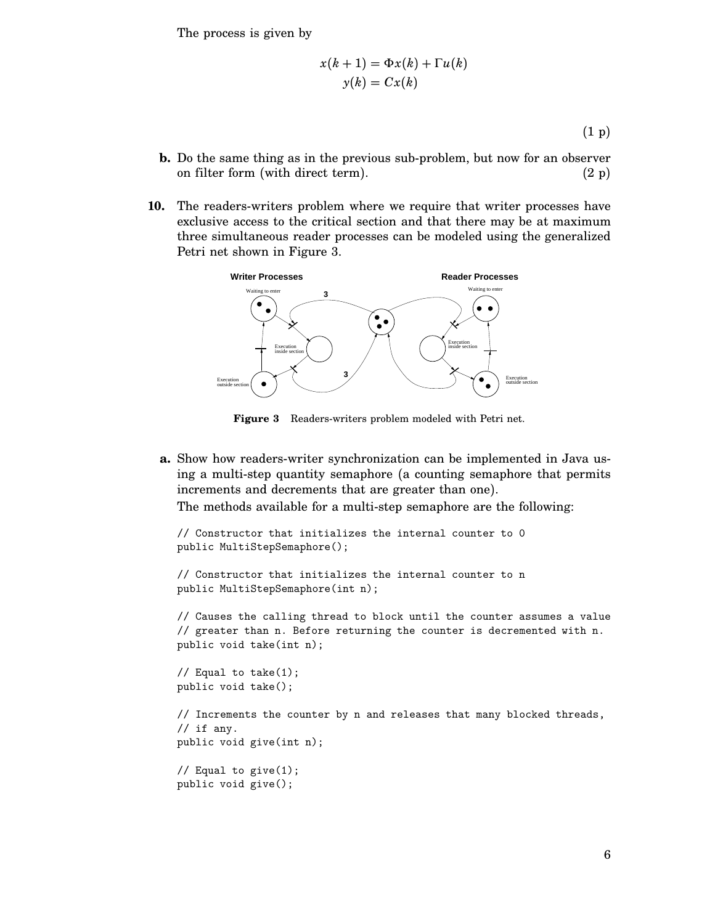The process is given by

$$
x(k + 1) = \Phi x(k) + \Gamma u(k)
$$

$$
y(k) = Cx(k)
$$

(1 p)

- **b.** Do the same thing as in the previous sub-problem, but now for an observer on filter form (with direct term).  $(2 p)$
- **10.** The readers-writers problem where we require that writer processes have exclusive access to the critical section and that there may be at maximum three simultaneous reader processes can be modeled using the generalized Petri net shown in Figure 3.



**Figure 3** Readers-writers problem modeled with Petri net.

**a.** Show how readers-writer synchronization can be implemented in Java using a multi-step quantity semaphore (a counting semaphore that permits increments and decrements that are greater than one).

The methods available for a multi-step semaphore are the following:

```
// Constructor that initializes the internal counter to 0
public MultiStepSemaphore();
```

```
// Constructor that initializes the internal counter to n
public MultiStepSemaphore(int n);
```
// Causes the calling thread to block until the counter assumes a value // greater than n. Before returning the counter is decremented with n. public void take(int n);

```
// Equal to take(1);
public void take();
```

```
// Increments the counter by n and releases that many blocked threads,
// if any.
public void give(int n);
```

```
// Equal to give(1);
public void give();
```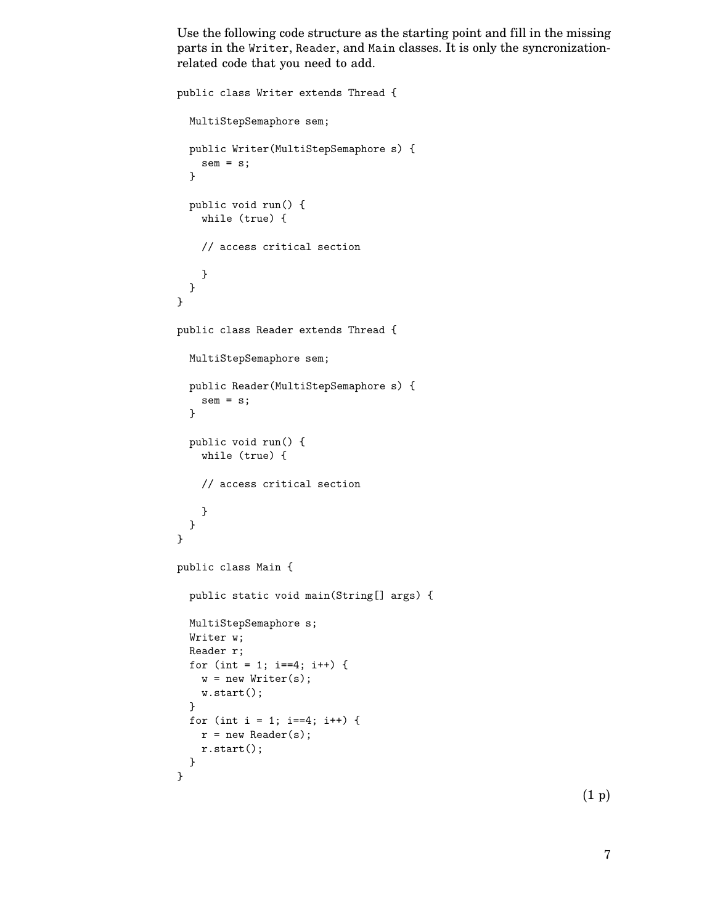Use the following code structure as the starting point and fill in the missing parts in the Writer, Reader, and Main classes. It is only the syncronizationrelated code that you need to add.

```
public class Writer extends Thread {
  MultiStepSemaphore sem;
  public Writer(MultiStepSemaphore s) {
    sem = s;}
  public void run() {
    while (true) {
    // access critical section
    }
  }
}
public class Reader extends Thread {
  MultiStepSemaphore sem;
  public Reader(MultiStepSemaphore s) {
    sem = s;}
  public void run() {
    while (true) {
    // access critical section
    }
  }
}
public class Main {
  public static void main(String[] args) {
  MultiStepSemaphore s;
  Writer w;
  Reader r;
  for (int = 1; i==4; i++) {
   w = new Writer(s);w.start();
  }
  for (int i = 1; i==4; i++) {
   r = new Reader(s);r.start();
  }
}
```
(1 p)